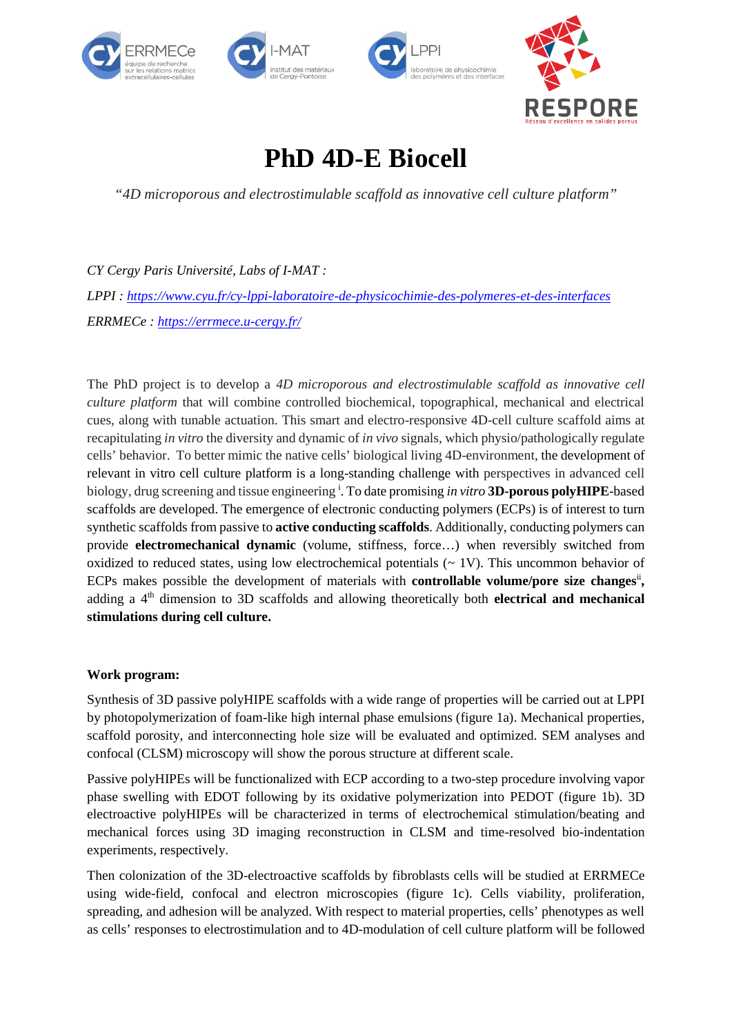



# **PhD 4D-E Biocell**

*"4D microporous and electrostimulable scaffold as innovative cell culture platform"*

*CY Cergy Paris Université, Labs of I-MAT : LPPI : <https://www.cyu.fr/cy-lppi-laboratoire-de-physicochimie-des-polymeres-et-des-interfaces> ERRMECe : <https://errmece.u-cergy.fr/>*

The PhD project is to develop a *4D microporous and electrostimulable scaffold as innovative cell culture platform* that will combine controlled biochemical, topographical, mechanical and electrical cues, along with tunable actuation. This smart and electro-responsive 4D-cell culture scaffold aims at recapitulating *in vitro* the diversity and dynamic of *in vivo* signals, which physio/pathologically regulate cells' behavior. To better mimic the native cells' biological living 4D-environment, the development of relevant in vitro cell culture platform is a long-standing challenge with perspectives in advanced cell biology, drug screening and tissue engineering <sup>i</sup> . To date promising *in vitro* **3D-porous polyHIPE**-based scaffolds are developed. The emergence of electronic conducting polymers (ECPs) is of interest to turn synthetic scaffolds from passive to **active conducting scaffolds**. Additionally, conducting polymers can provide **electromechanical dynamic** (volume, stiffness, force…) when reversibly switched from oxidized to reduced states, using low electrochemical potentials ( $\sim 1$ V). This uncommon behavior of ECPs makes possible the development of materials with **controllable volume/pore size changes**<sup>ii</sup>, adding a 4<sup>th</sup> dimension to 3D scaffolds and allowing theoretically both **electrical and mechanical stimulations during cell culture.**

## **Work program:**

Synthesis of 3D passive polyHIPE scaffolds with a wide range of properties will be carried out at LPPI by photopolymerization of foam-like high internal phase emulsions (figure 1a). Mechanical properties, scaffold porosity, and interconnecting hole size will be evaluated and optimized. SEM analyses and confocal (CLSM) microscopy will show the porous structure at different scale.

Passive polyHIPEs will be functionalized with ECP according to a two-step procedure involving vapor phase swelling with EDOT following by its oxidative polymerization into PEDOT (figure 1b). 3D electroactive polyHIPEs will be characterized in terms of electrochemical stimulation/beating and mechanical forces using 3D imaging reconstruction in CLSM and time-resolved bio-indentation experiments, respectively.

Then colonization of the 3D-electroactive scaffolds by fibroblasts cells will be studied at ERRMECe using wide-field, confocal and electron microscopies (figure 1c). Cells viability, proliferation, spreading, and adhesion will be analyzed. With respect to material properties, cells' phenotypes as well as cells' responses to electrostimulation and to 4D-modulation of cell culture platform will be followed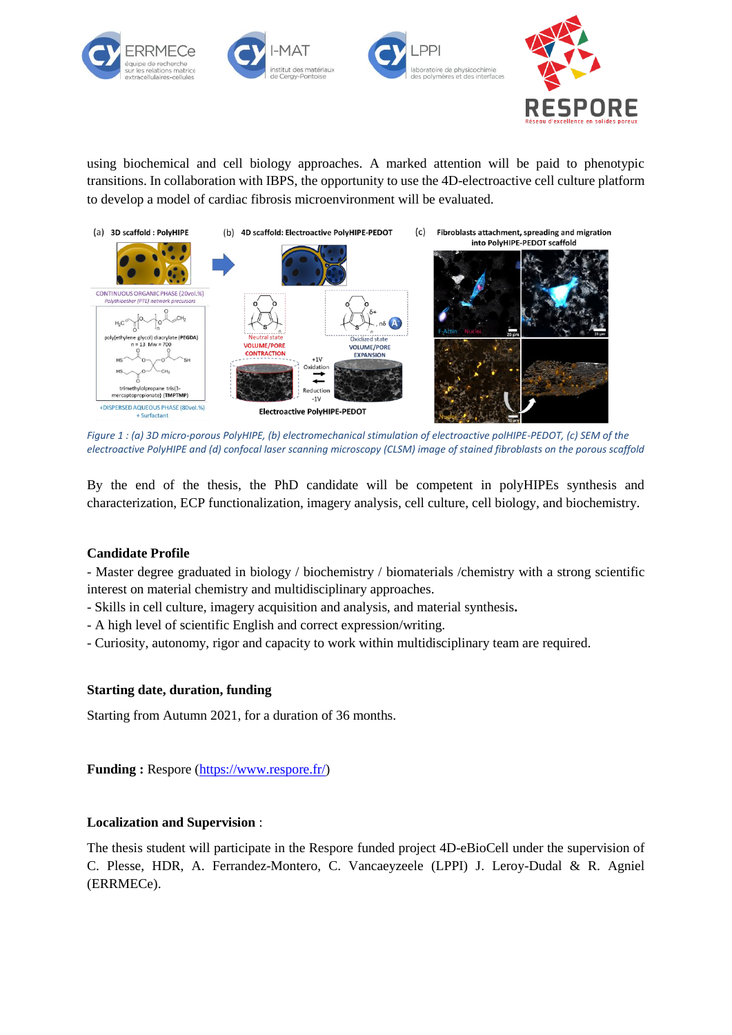



using biochemical and cell biology approaches. A marked attention will be paid to phenotypic transitions. In collaboration with IBPS, the opportunity to use the 4D-electroactive cell culture platform to develop a model of cardiac fibrosis microenvironment will be evaluated.



*Figure 1 : (a) 3D micro-porous PolyHIPE, (b) electromechanical stimulation of electroactive polHIPE-PEDOT, (c) SEM of the electroactive PolyHIPE and (d) confocal laser scanning microscopy (CLSM) image of stained fibroblasts on the porous scaffold*

By the end of the thesis, the PhD candidate will be competent in polyHIPEs synthesis and characterization, ECP functionalization, imagery analysis, cell culture, cell biology, and biochemistry.

## **Candidate Profile**

- Master degree graduated in biology / biochemistry / biomaterials /chemistry with a strong scientific interest on material chemistry and multidisciplinary approaches.

- Skills in cell culture, imagery acquisition and analysis, and material synthesis**.**
- A high level of scientific English and correct expression/writing.
- Curiosity, autonomy, rigor and capacity to work within multidisciplinary team are required.

#### **Starting date, duration, funding**

Starting from Autumn 2021, for a duration of 36 months.

**Funding :** Respore [\(https://www.respore.fr/\)](https://www.respore.fr/)

## **Localization and Supervision** :

The thesis student will participate in the Respore funded project 4D-eBioCell under the supervision of C. Plesse, HDR, A. Ferrandez-Montero, C. Vancaeyzeele (LPPI) J. Leroy-Dudal & R. Agniel (ERRMECe).